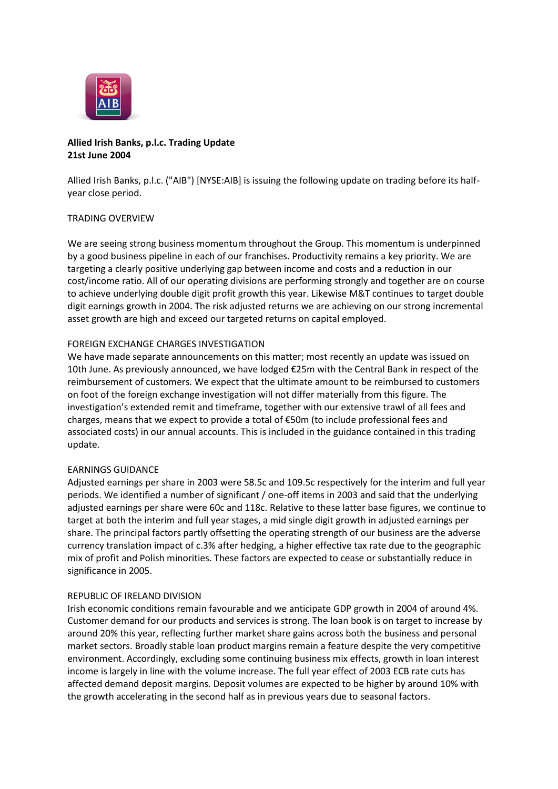

# **Allied Irish Banks, p.l.c. Trading Update 21st June 2004**

Allied Irish Banks, p.l.c. ("AIB") [NYSE:AIB] is issuing the following update on trading before its halfyear close period.

### TRADING OVERVIEW

We are seeing strong business momentum throughout the Group. This momentum is underpinned by a good business pipeline in each of our franchises. Productivity remains a key priority. We are targeting a clearly positive underlying gap between income and costs and a reduction in our cost/income ratio. All of our operating divisions are performing strongly and together are on course to achieve underlying double digit profit growth this year. Likewise M&T continues to target double digit earnings growth in 2004. The risk adjusted returns we are achieving on our strong incremental asset growth are high and exceed our targeted returns on capital employed.

# FOREIGN EXCHANGE CHARGES INVESTIGATION

We have made separate announcements on this matter; most recently an update was issued on 10th June. As previously announced, we have lodged €25m with the Central Bank in respect of the reimbursement of customers. We expect that the ultimate amount to be reimbursed to customers on foot of the foreign exchange investigation will not differ materially from this figure. The investigation's extended remit and timeframe, together with our extensive trawl of all fees and charges, means that we expect to provide a total of €50m (to include professional fees and associated costs) in our annual accounts. This is included in the guidance contained in this trading update.

### EARNINGS GUIDANCE

Adjusted earnings per share in 2003 were 58.5c and 109.5c respectively for the interim and full year periods. We identified a number of significant / one-off items in 2003 and said that the underlying adjusted earnings per share were 60c and 118c. Relative to these latter base figures, we continue to target at both the interim and full year stages, a mid single digit growth in adjusted earnings per share. The principal factors partly offsetting the operating strength of our business are the adverse currency translation impact of c.3% after hedging, a higher effective tax rate due to the geographic mix of profit and Polish minorities. These factors are expected to cease or substantially reduce in significance in 2005.

### REPUBLIC OF IRELAND DIVISION

Irish economic conditions remain favourable and we anticipate GDP growth in 2004 of around 4%. Customer demand for our products and services is strong. The loan book is on target to increase by around 20% this year, reflecting further market share gains across both the business and personal market sectors. Broadly stable loan product margins remain a feature despite the very competitive environment. Accordingly, excluding some continuing business mix effects, growth in loan interest income is largely in line with the volume increase. The full year effect of 2003 ECB rate cuts has affected demand deposit margins. Deposit volumes are expected to be higher by around 10% with the growth accelerating in the second half as in previous years due to seasonal factors.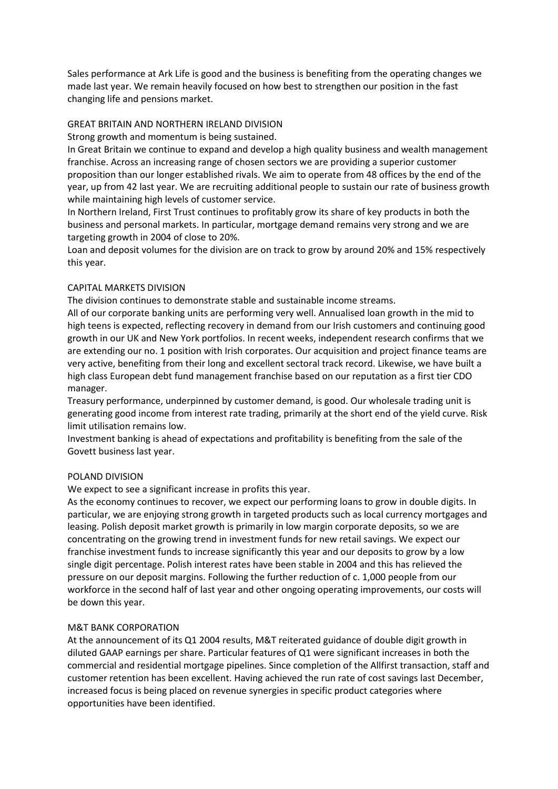Sales performance at Ark Life is good and the business is benefiting from the operating changes we made last year. We remain heavily focused on how best to strengthen our position in the fast changing life and pensions market.

### GREAT BRITAIN AND NORTHERN IRELAND DIVISION

Strong growth and momentum is being sustained.

In Great Britain we continue to expand and develop a high quality business and wealth management franchise. Across an increasing range of chosen sectors we are providing a superior customer proposition than our longer established rivals. We aim to operate from 48 offices by the end of the year, up from 42 last year. We are recruiting additional people to sustain our rate of business growth while maintaining high levels of customer service.

In Northern Ireland, First Trust continues to profitably grow its share of key products in both the business and personal markets. In particular, mortgage demand remains very strong and we are targeting growth in 2004 of close to 20%.

Loan and deposit volumes for the division are on track to grow by around 20% and 15% respectively this year.

# CAPITAL MARKETS DIVISION

The division continues to demonstrate stable and sustainable income streams.

All of our corporate banking units are performing very well. Annualised loan growth in the mid to high teens is expected, reflecting recovery in demand from our Irish customers and continuing good growth in our UK and New York portfolios. In recent weeks, independent research confirms that we are extending our no. 1 position with Irish corporates. Our acquisition and project finance teams are very active, benefiting from their long and excellent sectoral track record. Likewise, we have built a high class European debt fund management franchise based on our reputation as a first tier CDO manager.

Treasury performance, underpinned by customer demand, is good. Our wholesale trading unit is generating good income from interest rate trading, primarily at the short end of the yield curve. Risk limit utilisation remains low.

Investment banking is ahead of expectations and profitability is benefiting from the sale of the Govett business last year.

### POLAND DIVISION

We expect to see a significant increase in profits this year.

As the economy continues to recover, we expect our performing loans to grow in double digits. In particular, we are enjoying strong growth in targeted products such as local currency mortgages and leasing. Polish deposit market growth is primarily in low margin corporate deposits, so we are concentrating on the growing trend in investment funds for new retail savings. We expect our franchise investment funds to increase significantly this year and our deposits to grow by a low single digit percentage. Polish interest rates have been stable in 2004 and this has relieved the pressure on our deposit margins. Following the further reduction of c. 1,000 people from our workforce in the second half of last year and other ongoing operating improvements, our costs will be down this year.

### M&T BANK CORPORATION

At the announcement of its Q1 2004 results, M&T reiterated guidance of double digit growth in diluted GAAP earnings per share. Particular features of Q1 were significant increases in both the commercial and residential mortgage pipelines. Since completion of the Allfirst transaction, staff and customer retention has been excellent. Having achieved the run rate of cost savings last December, increased focus is being placed on revenue synergies in specific product categories where opportunities have been identified.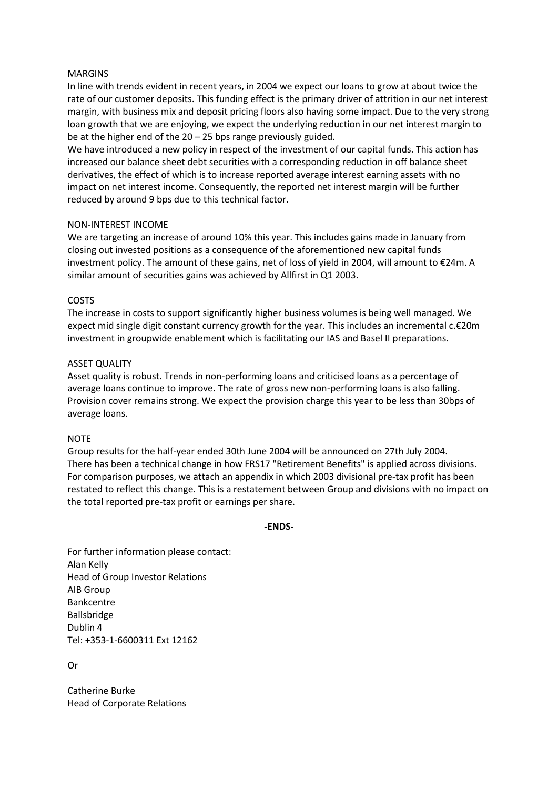#### MARGINS

In line with trends evident in recent years, in 2004 we expect our loans to grow at about twice the rate of our customer deposits. This funding effect is the primary driver of attrition in our net interest margin, with business mix and deposit pricing floors also having some impact. Due to the very strong loan growth that we are enjoying, we expect the underlying reduction in our net interest margin to be at the higher end of the 20 – 25 bps range previously guided.

We have introduced a new policy in respect of the investment of our capital funds. This action has increased our balance sheet debt securities with a corresponding reduction in off balance sheet derivatives, the effect of which is to increase reported average interest earning assets with no impact on net interest income. Consequently, the reported net interest margin will be further reduced by around 9 bps due to this technical factor.

#### NON-INTEREST INCOME

We are targeting an increase of around 10% this year. This includes gains made in January from closing out invested positions as a consequence of the aforementioned new capital funds investment policy. The amount of these gains, net of loss of yield in 2004, will amount to €24m. A similar amount of securities gains was achieved by Allfirst in Q1 2003.

#### COSTS

The increase in costs to support significantly higher business volumes is being well managed. We expect mid single digit constant currency growth for the year. This includes an incremental c.€20m investment in groupwide enablement which is facilitating our IAS and Basel II preparations.

#### ASSET QUALITY

Asset quality is robust. Trends in non-performing loans and criticised loans as a percentage of average loans continue to improve. The rate of gross new non-performing loans is also falling. Provision cover remains strong. We expect the provision charge this year to be less than 30bps of average loans.

#### **NOTE**

Group results for the half-year ended 30th June 2004 will be announced on 27th July 2004. There has been a technical change in how FRS17 "Retirement Benefits" is applied across divisions. For comparison purposes, we attach an appendix in which 2003 divisional pre-tax profit has been restated to reflect this change. This is a restatement between Group and divisions with no impact on the total reported pre-tax profit or earnings per share.

#### **-ENDS-**

For further information please contact: Alan Kelly Head of Group Investor Relations AIB Group Bankcentre Ballsbridge Dublin 4 Tel: +353-1-6600311 Ext 12162

Or

Catherine Burke Head of Corporate Relations